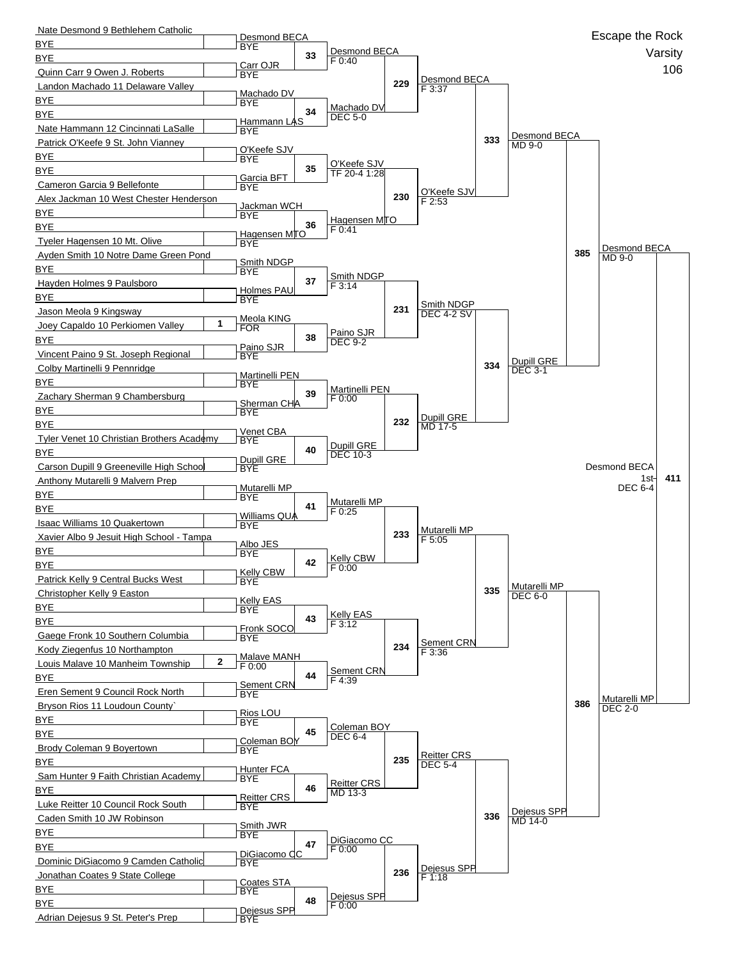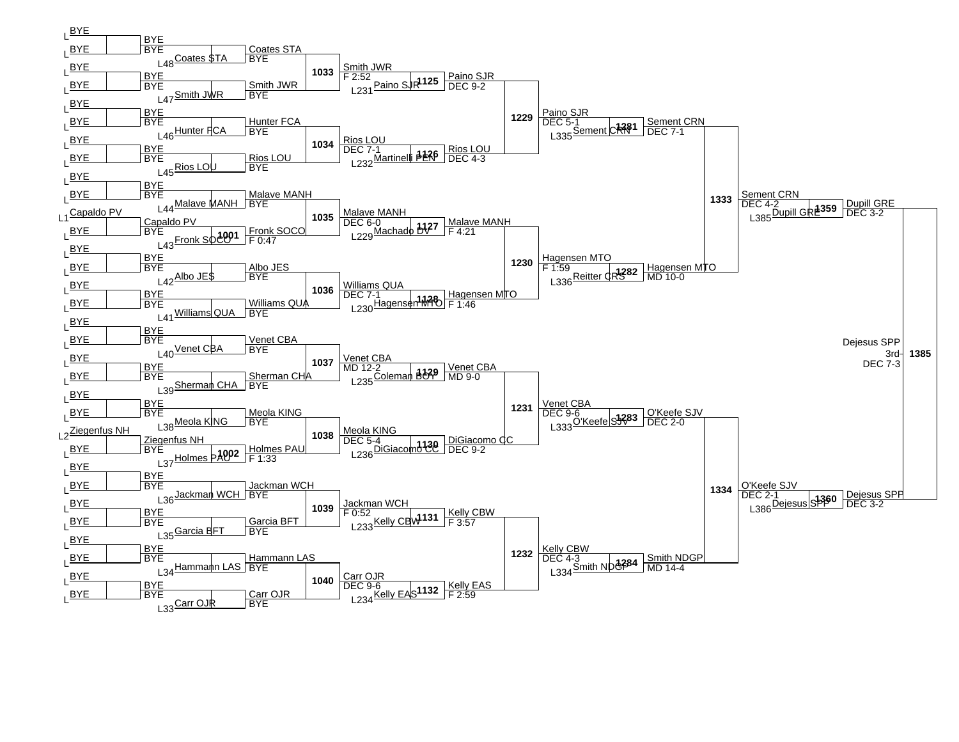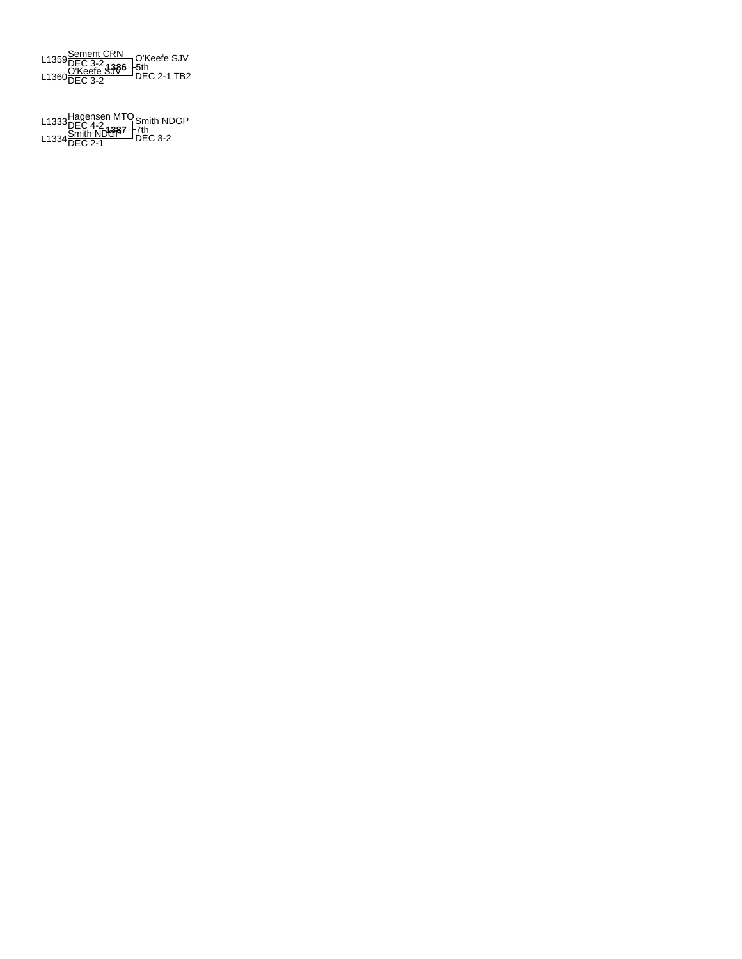

**1387** L1333Hagensen MTO DEC 4-2 L1334Smith NDGP DEC 2-1 DEC 3-2 Smith NDGP 7th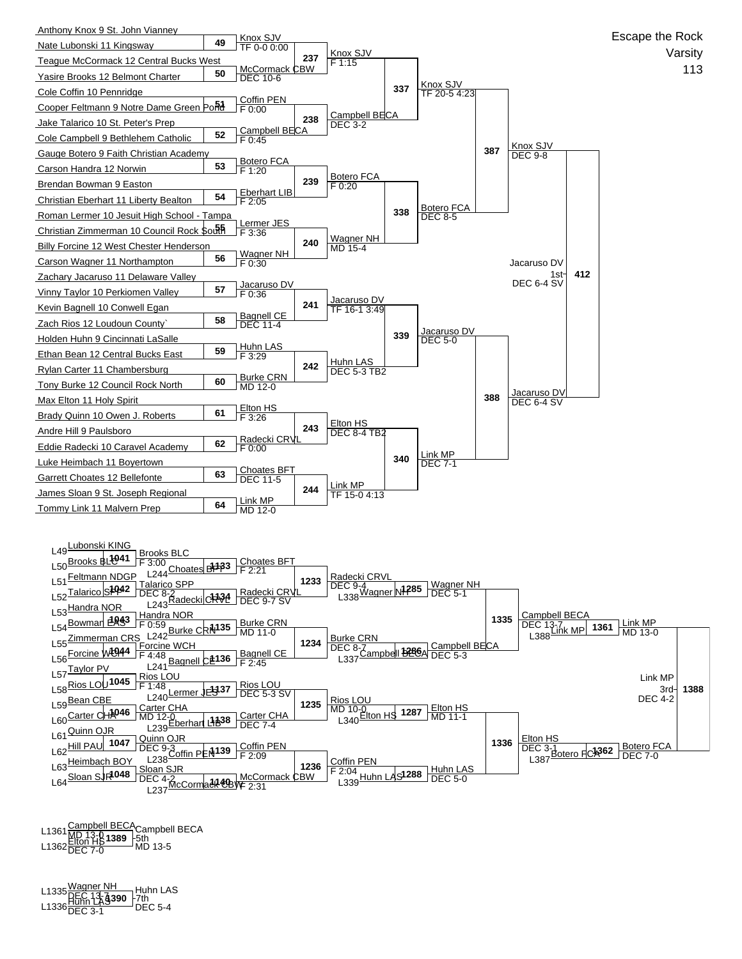

**1389** L1361Campbell BECA MD 13-0 L1362Elton HS DEC 7-0 MD 13-5 Campbell BECA 5th

**1390** L1335Wagner NH DEC 13-7 L1336Huhn LAS DEC 3-1 DEC 5-4 Huhn LAS 7th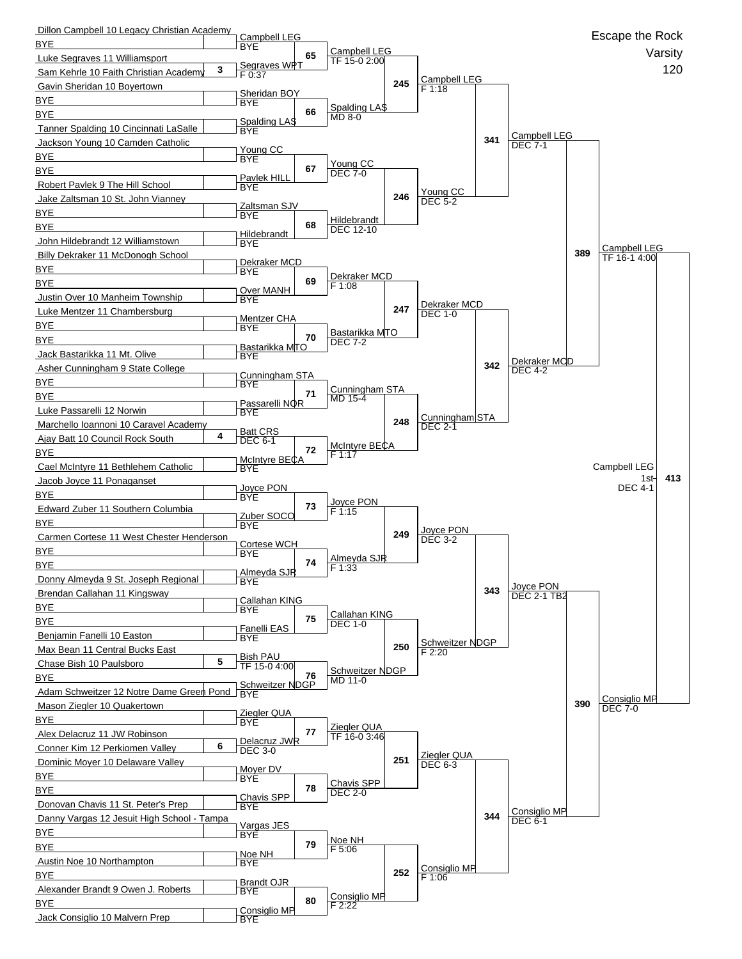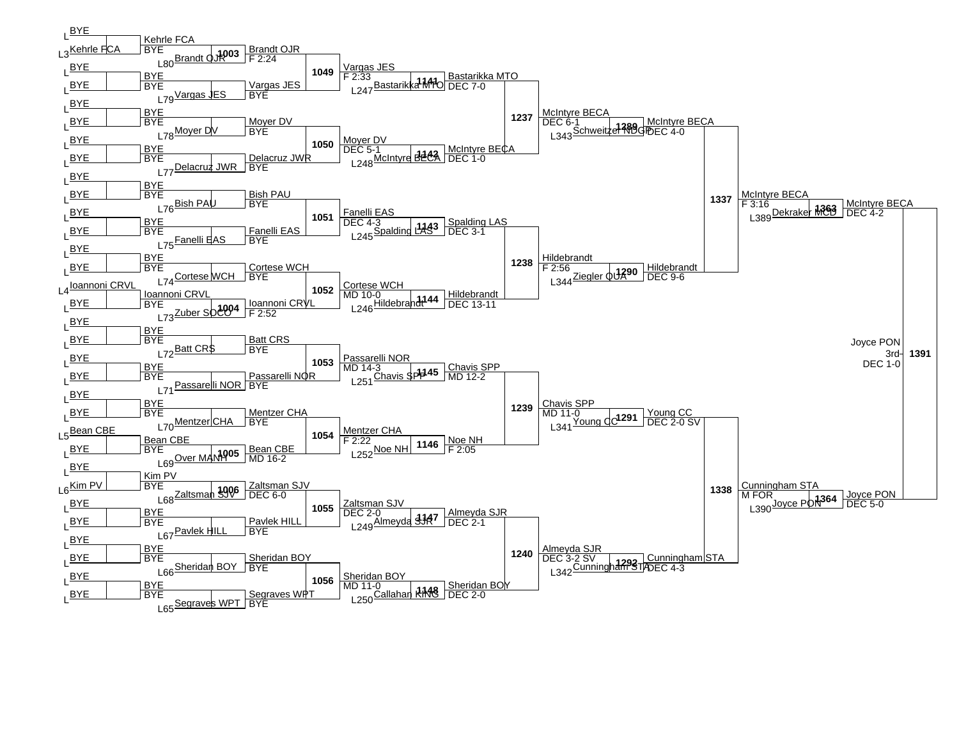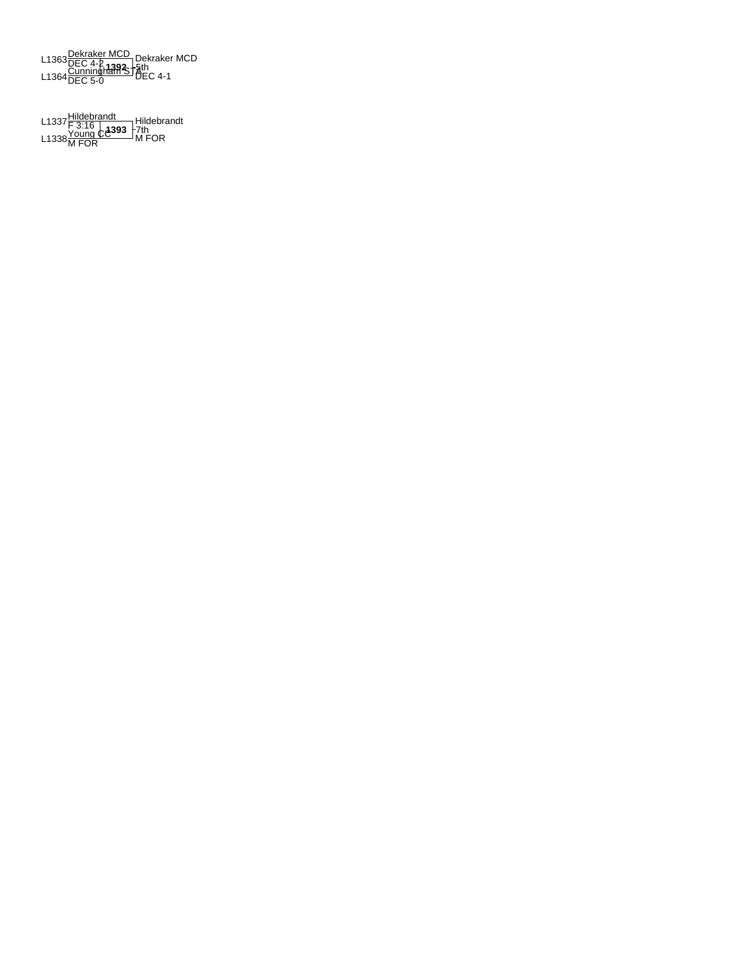L1363 <mark>Dekraker MCD</mark><br>L1364 <mark>Cunningham ST</mark>-5th<br>L1364 DEC 5-0<br>DEC 5-0 Dekraker MCD<br>·§th

L1337<u>Hildebrandt</u><br>L1338<u>Young CA</u>393 - 7th<br>L1338<u>M FOR MEOR</u> Hildebrandt 7th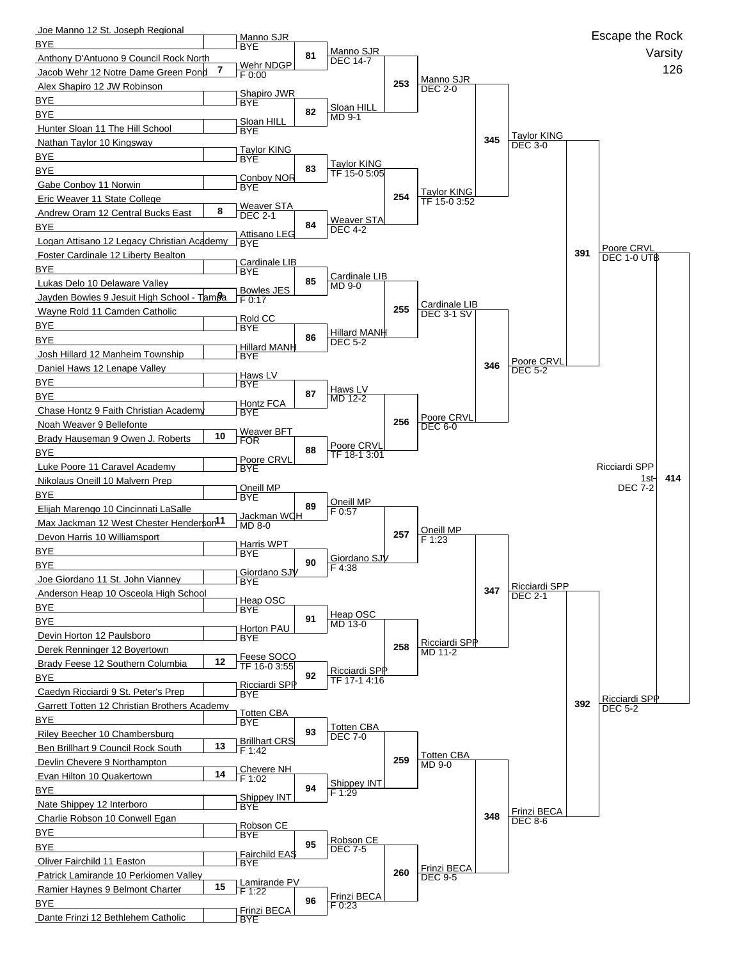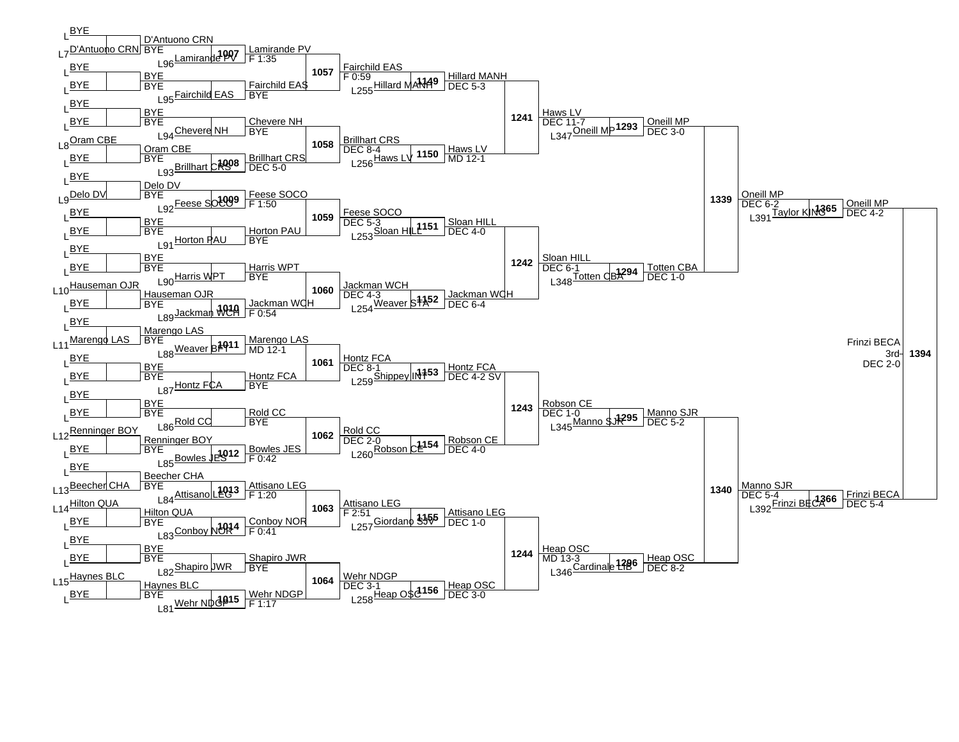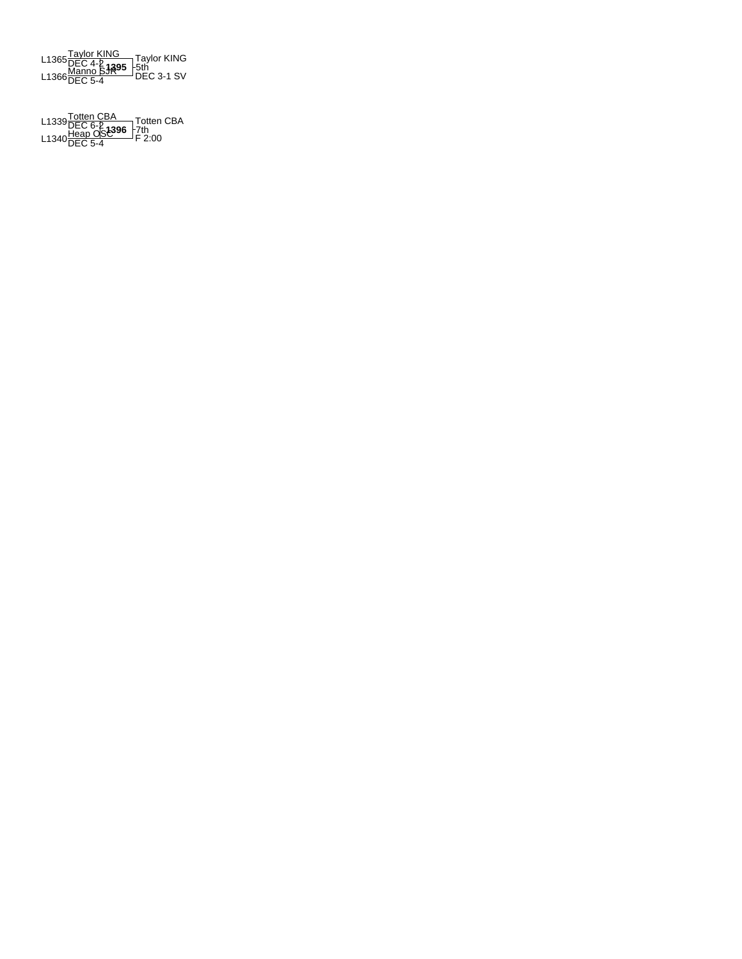

**1396** L1339Totten CBA DEC 6-2 L1340Heap OSC DEC 5-4 F 2:00 Totten CBA 7th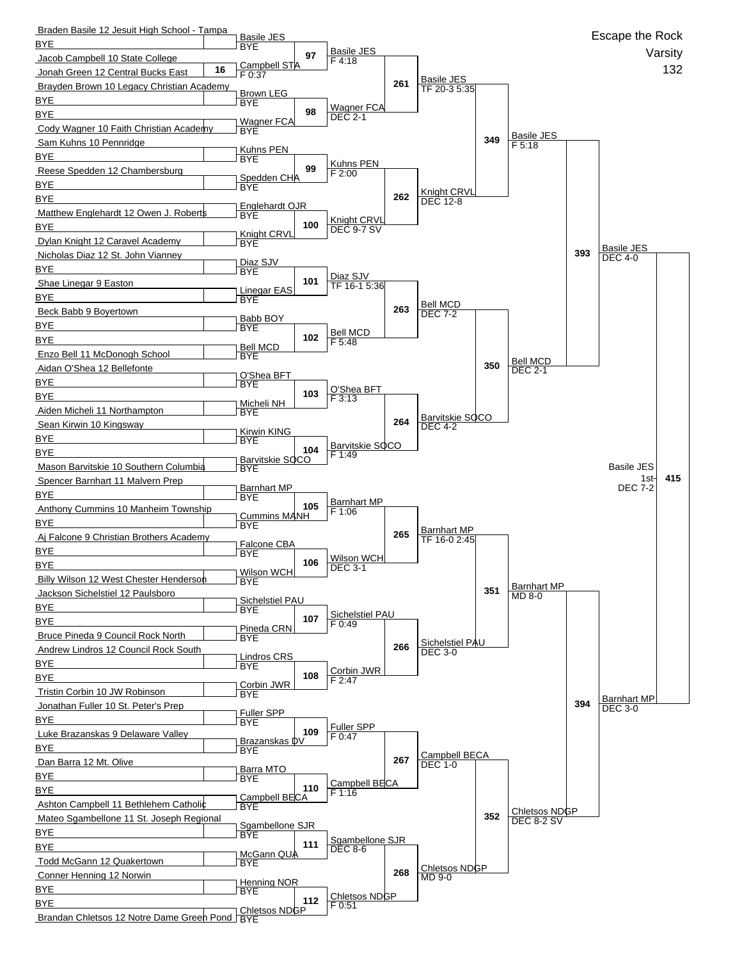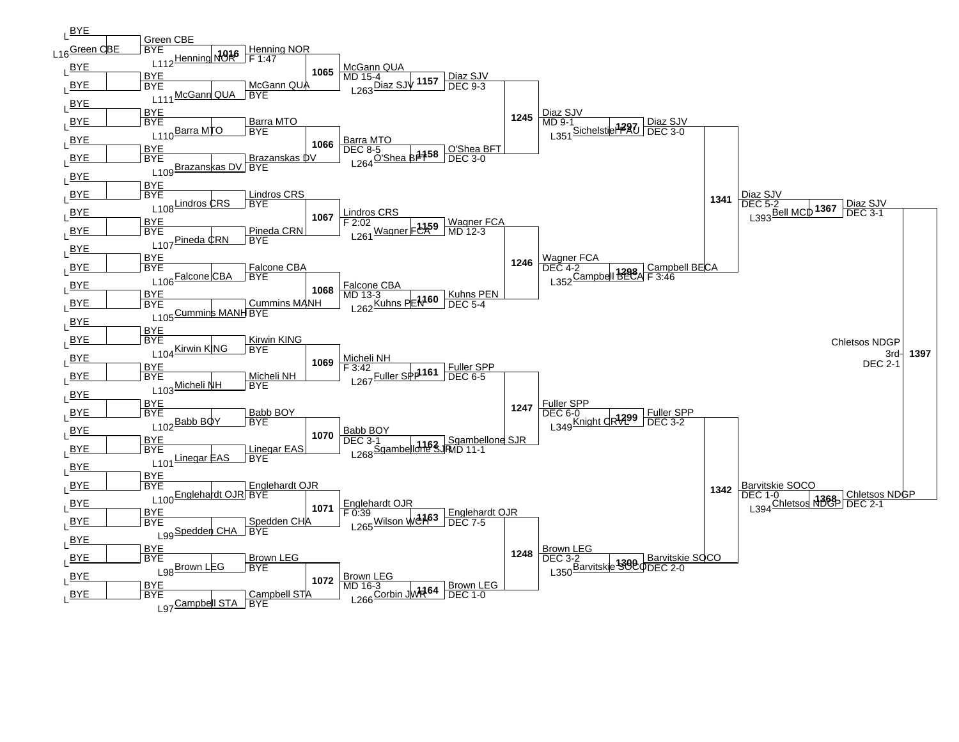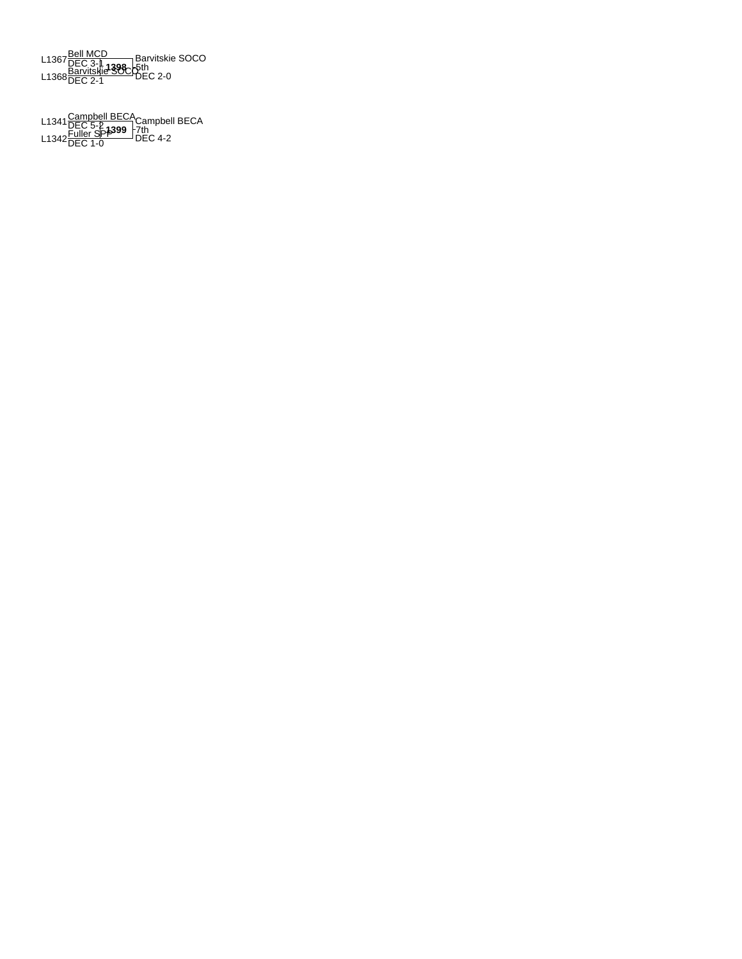L1367 <mark>Bell MCD</mark><br>L1368 <u>Barvitskie SOC p</u>th<br>L1368 <mark>DEC 2-1</mark> DEC 2-0 Barvitskie SOCO 5th

L1341 <u>Campbell BECA</u><br>Campbell DEC 5-2<br>L1342 DEC 1-0 DEC 4-2 Campbell BECA 7th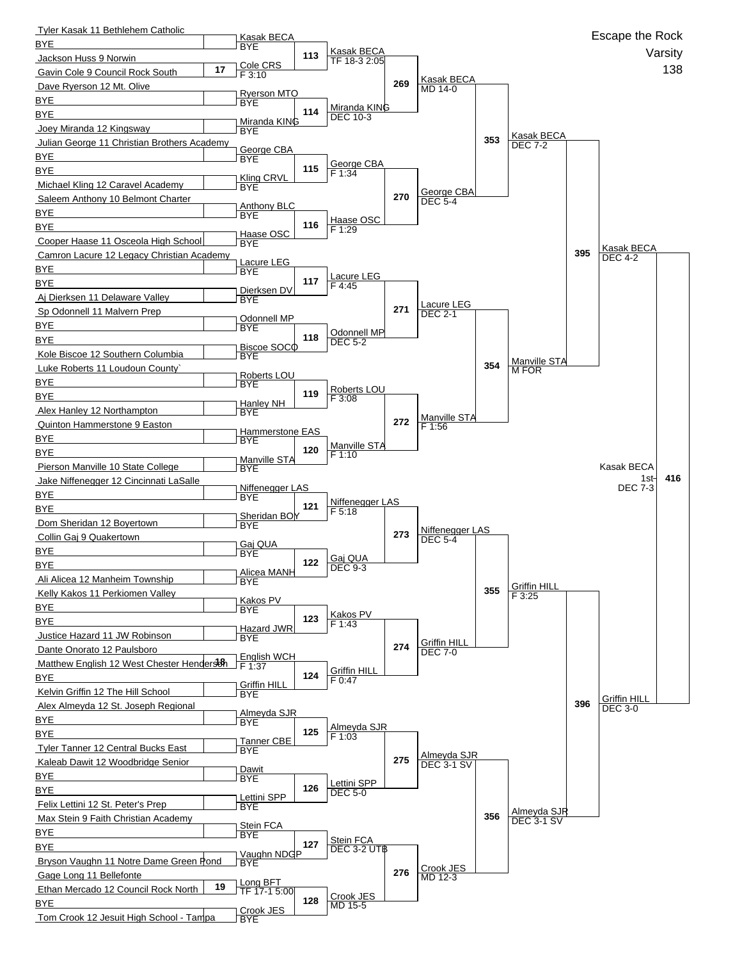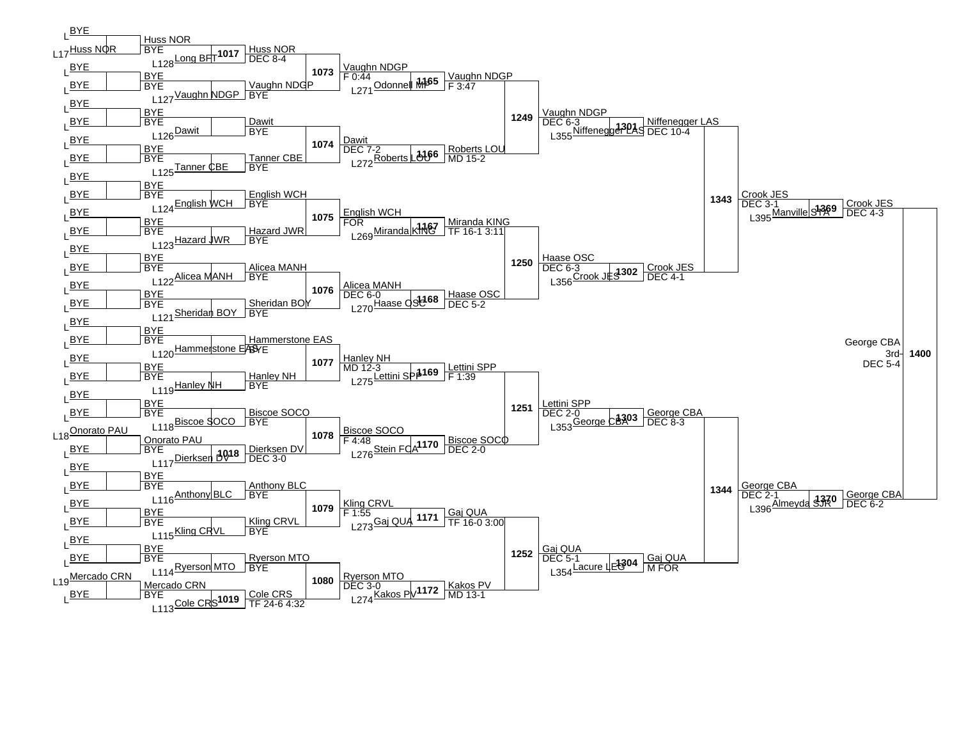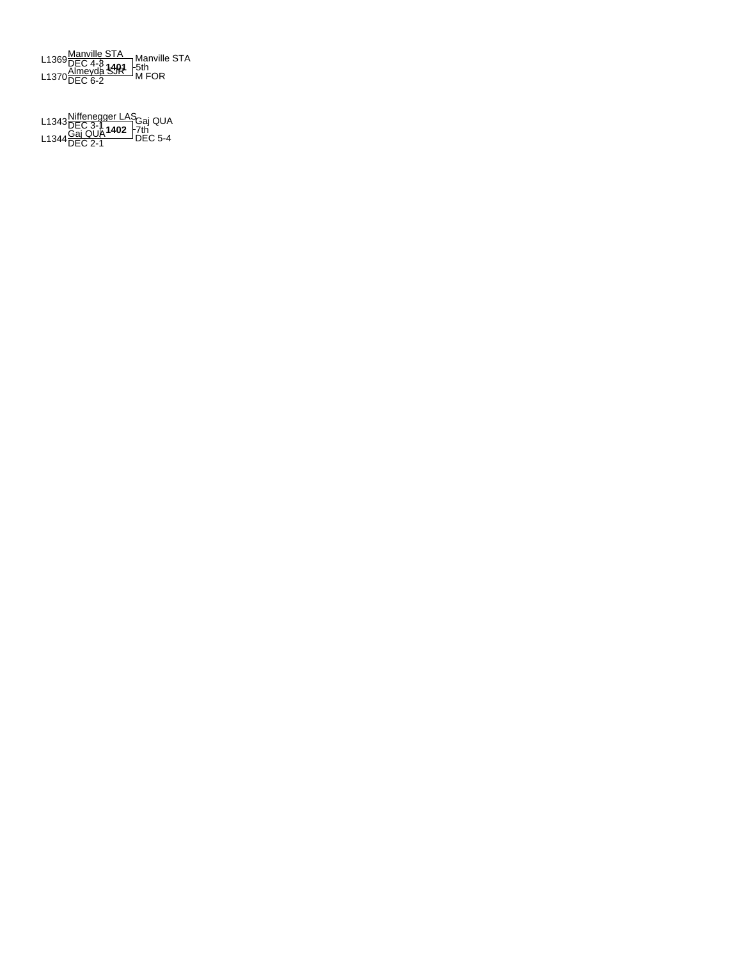L1369<u>Manville STA</u><br>L1369DEC 4-8 1401 -5th<br>L1370<u>DEC 6-2</u> M FOR Manville STA 5th

**1402** L1343Niffenegger LAS DEC 3-1 L1344Gaj QUA DEC 2-1 DEC 5-4 Gaj QUA 7th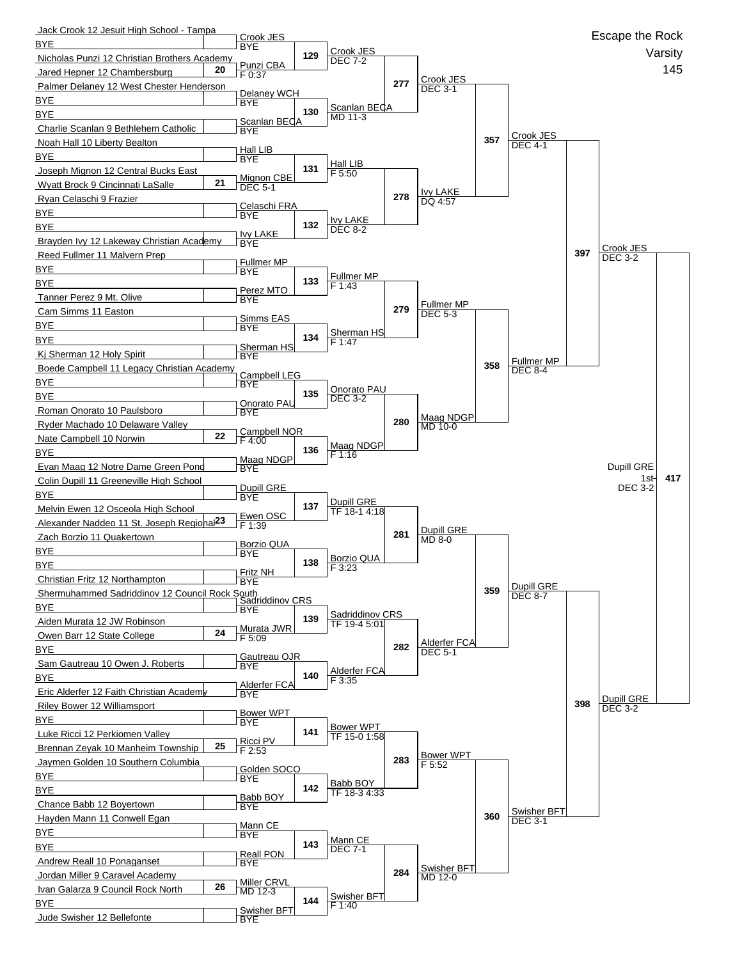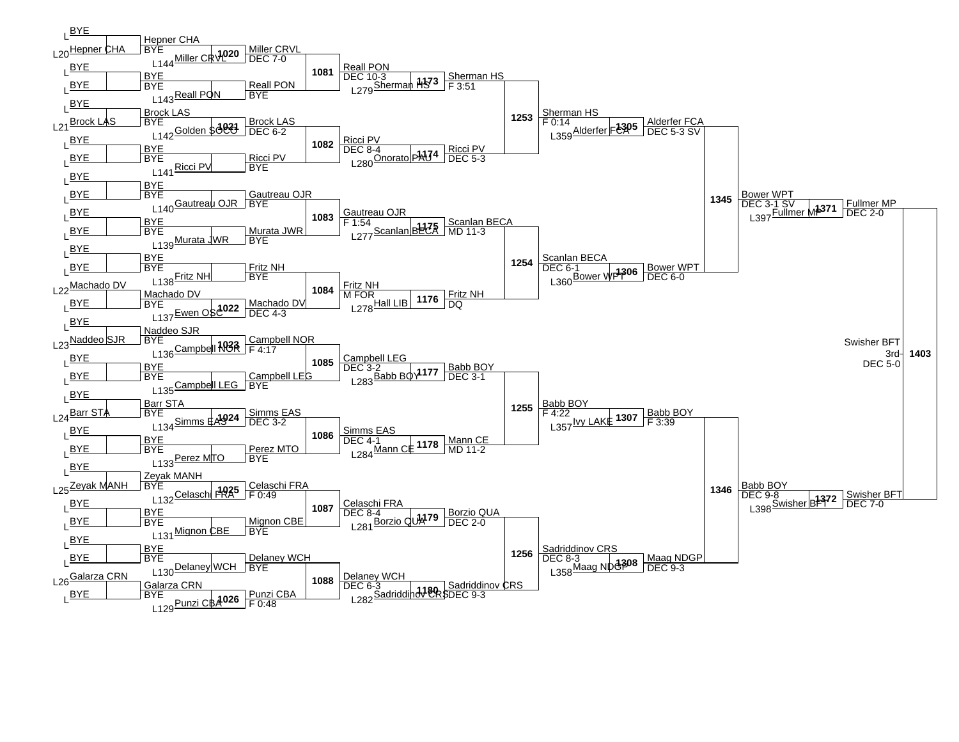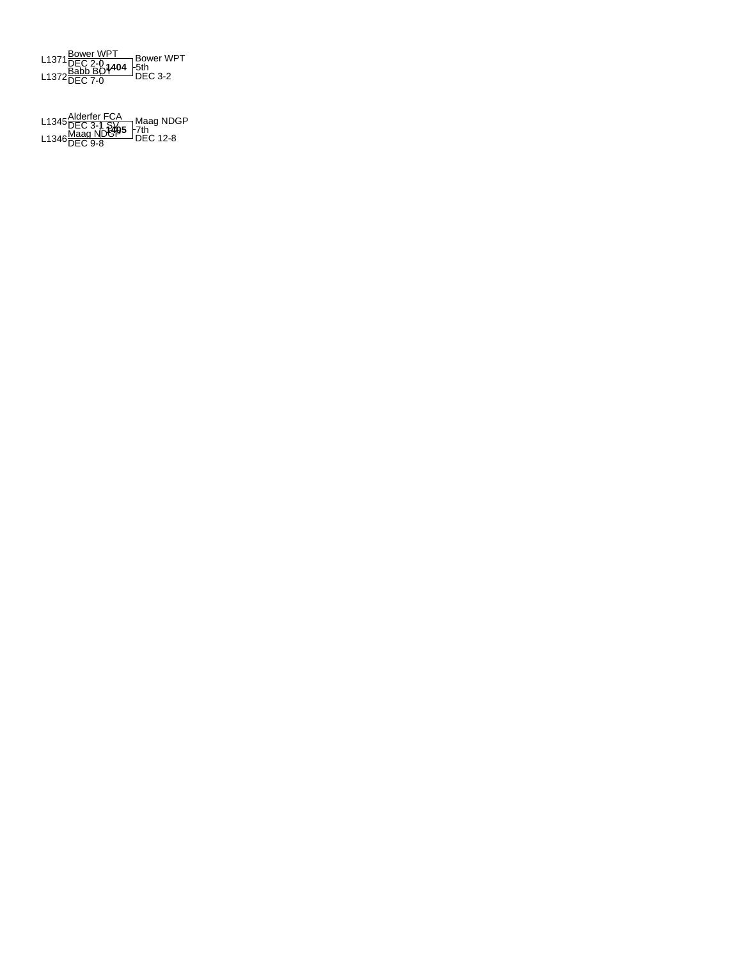

**1405** L1345Alderfer FCA DEC 3-1 SV L1346Maag NDGP DEC 9-8 DEC 12-8 Maag NDGP 7th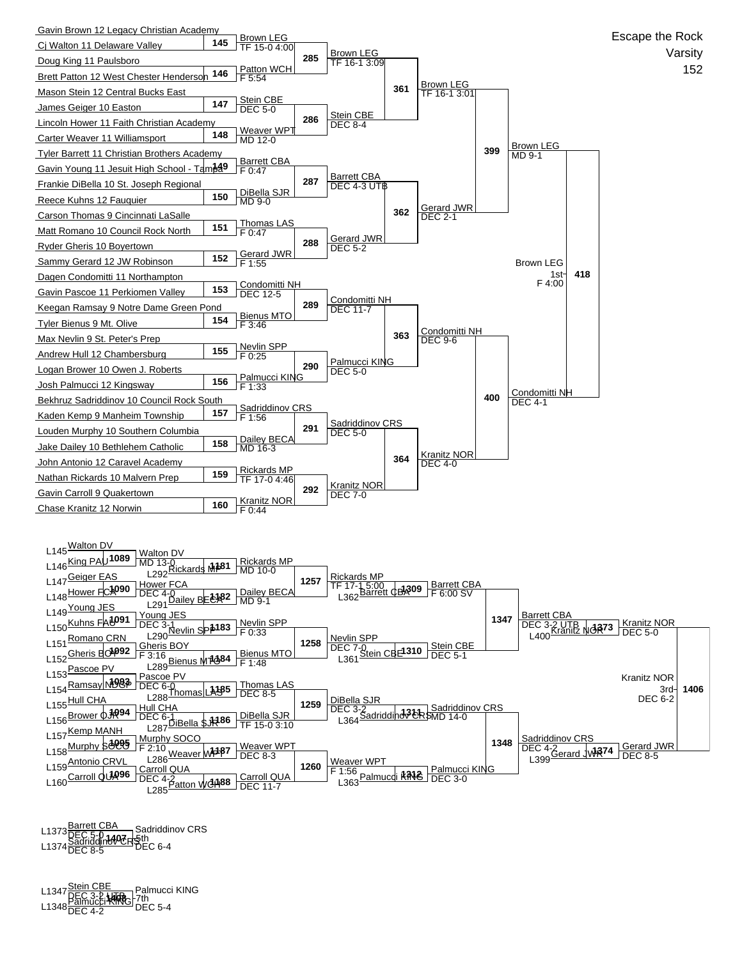

L1373 <u>Barrett CBA</u><br>L1374 Sadriddin<del>ov CR 5</del>th<br>L1374 DEC 8-5 DEC 6-4 Sadriddinov CRS

L1347 <u>Stein CBE</u><br>L1347 DEC 3-2 **UTB** - 7th<br>L1348 DEC 4-2 DEC 5-4 Palmucci KING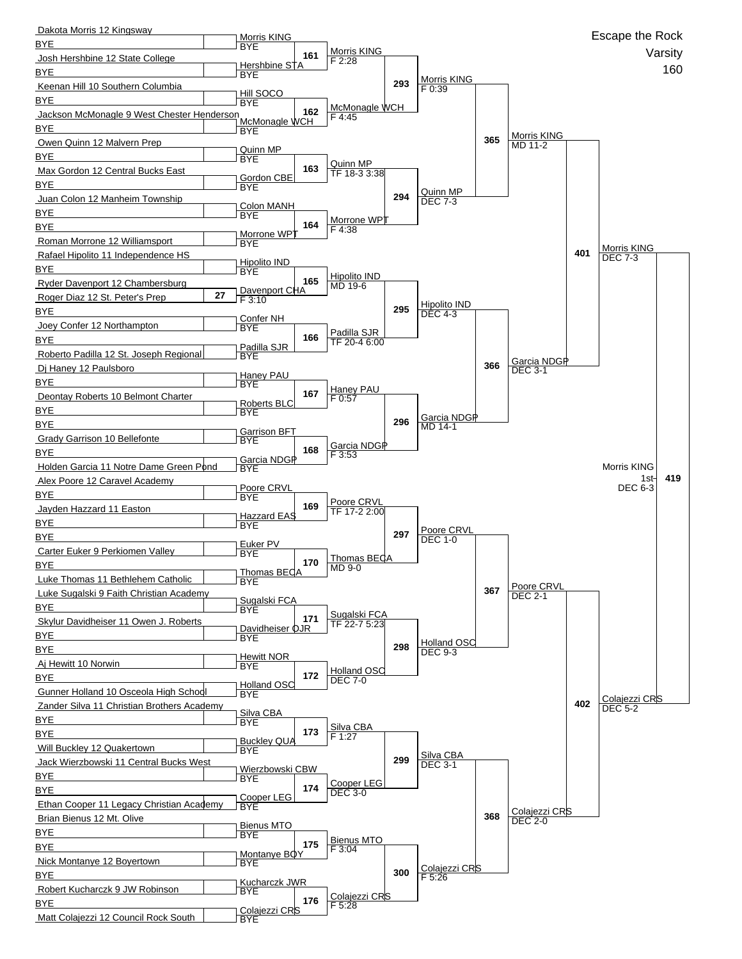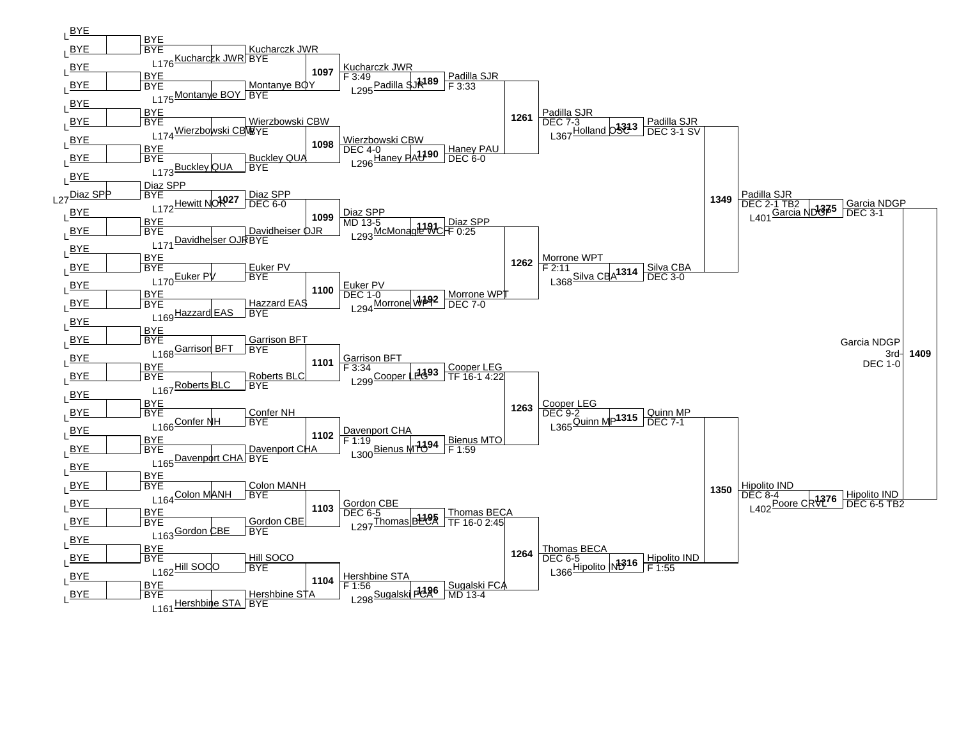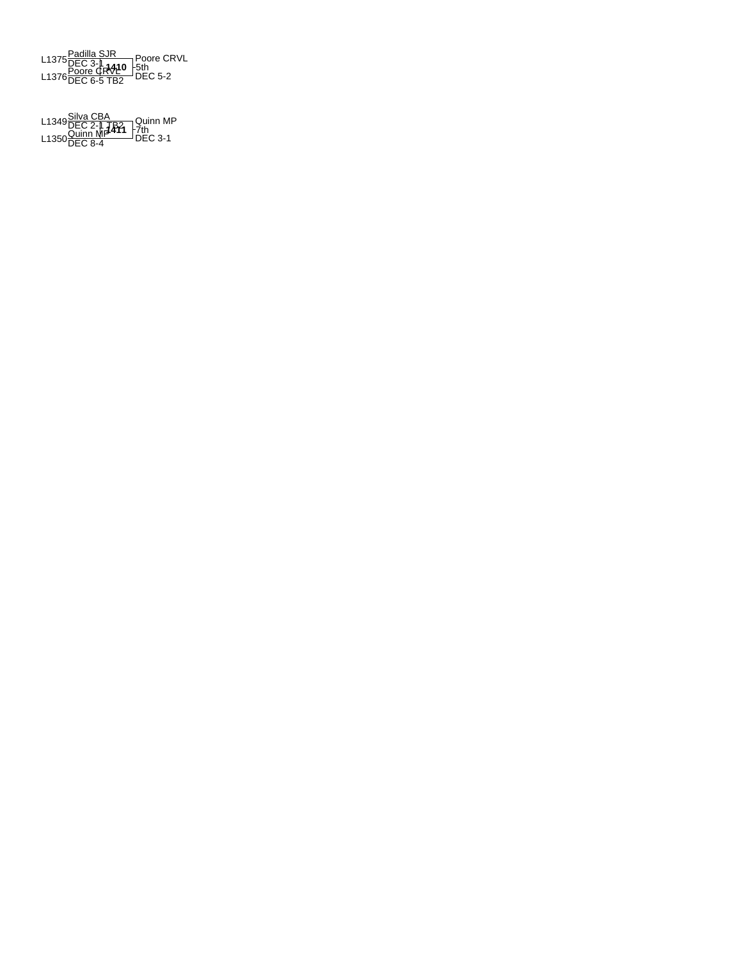

**1411** L1349Silva CBA DEC 2-1 TB2 L1350Quinn MP DEC 8-4 DEC 3-1 Quinn MP 7th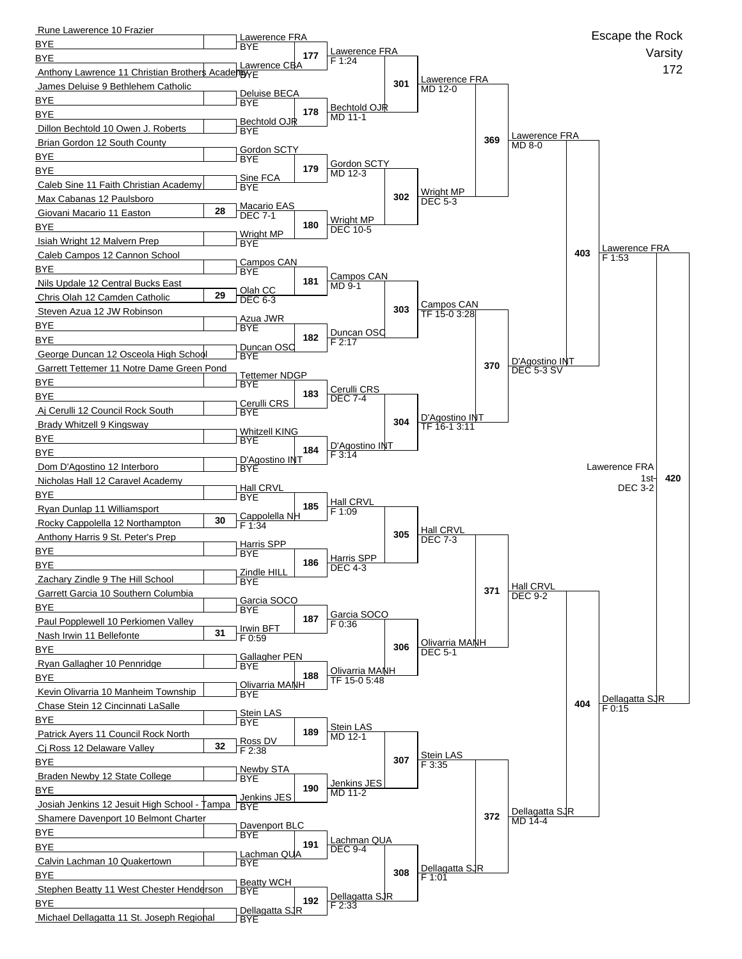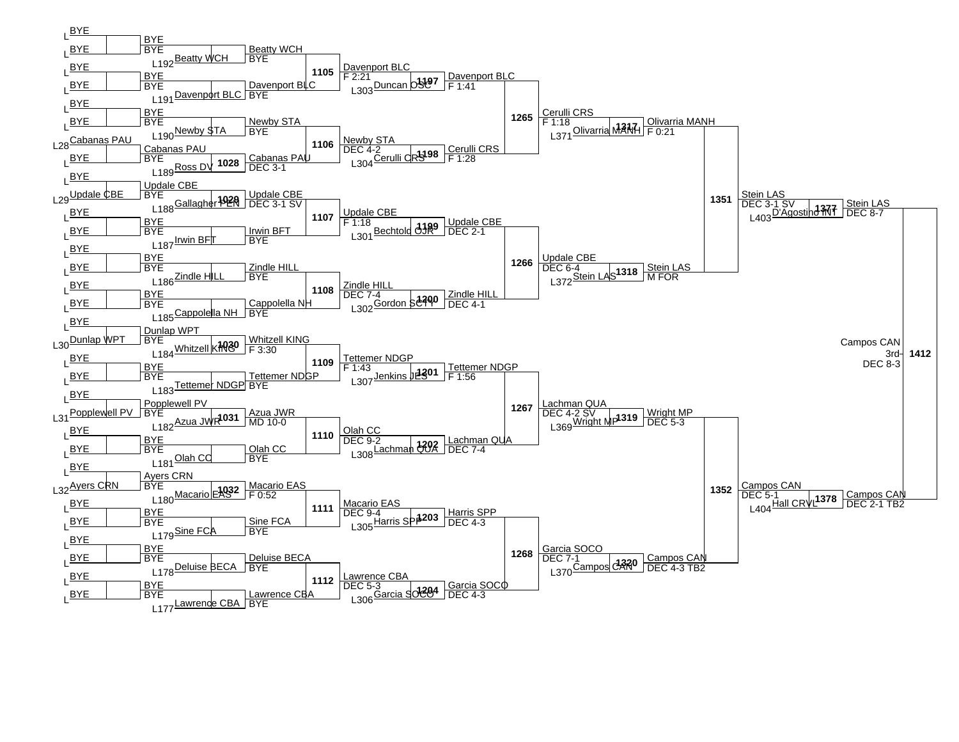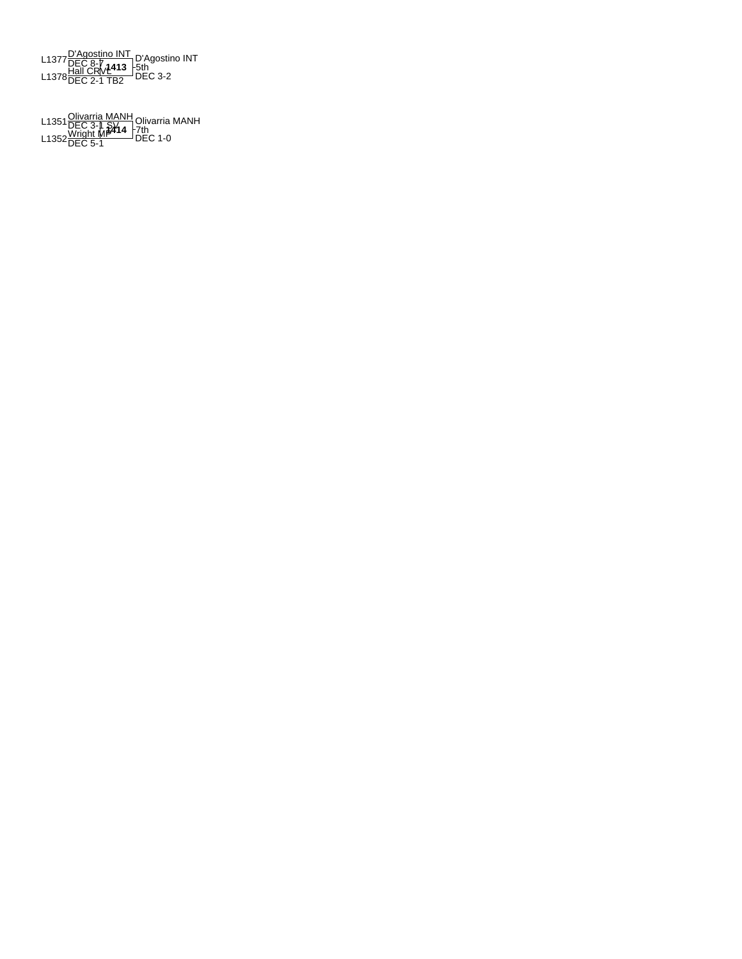**1413** L1377D'Agostino INT DEC 8-7 L1378Hall CRVL DEC 2-1 TB2 DEC 3-2 D'Agostino INT 5th

L1351 <u>Olivarria MANH</u> Olivarria M<br>L1352 <u>Wright MP</u><br>L1352 DEC 5-1 DEC 1-0 Olivarria MANH 7th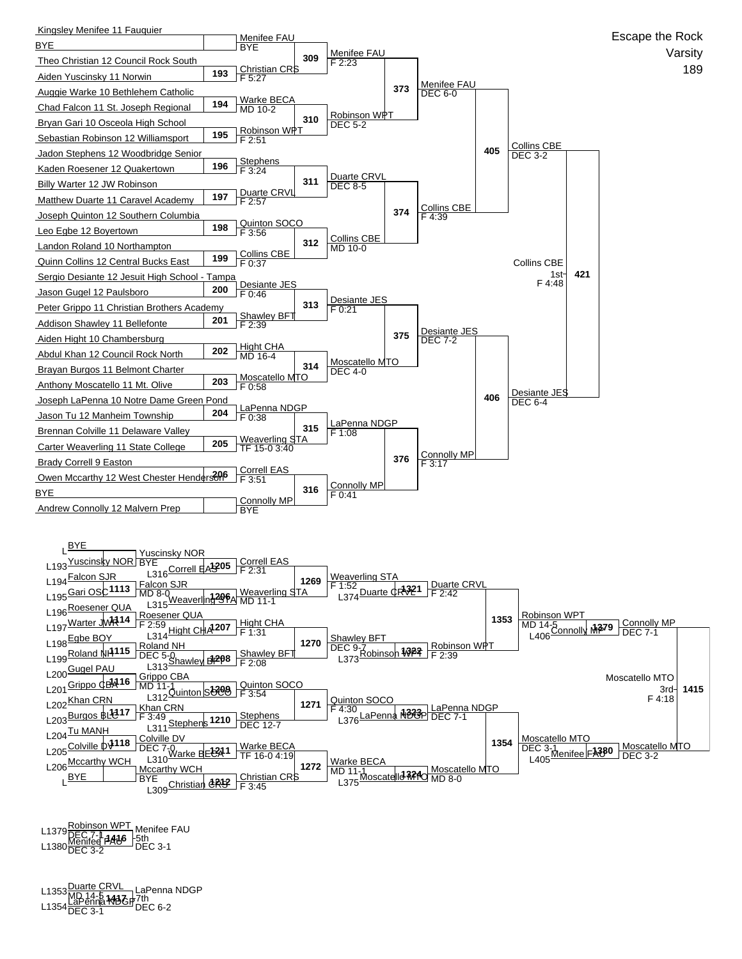

**1416** L1379Robinson WPT DEC 7-1 L1380Menifee FAU DEC 3-2 DEC 3-1 Menifee FAU 5th

**1417** L1353Duarte CRVL MD 14-5 L1354LaPenna NDGP DEC 3-1 DEC 6-2 LaPenna NDGP 7th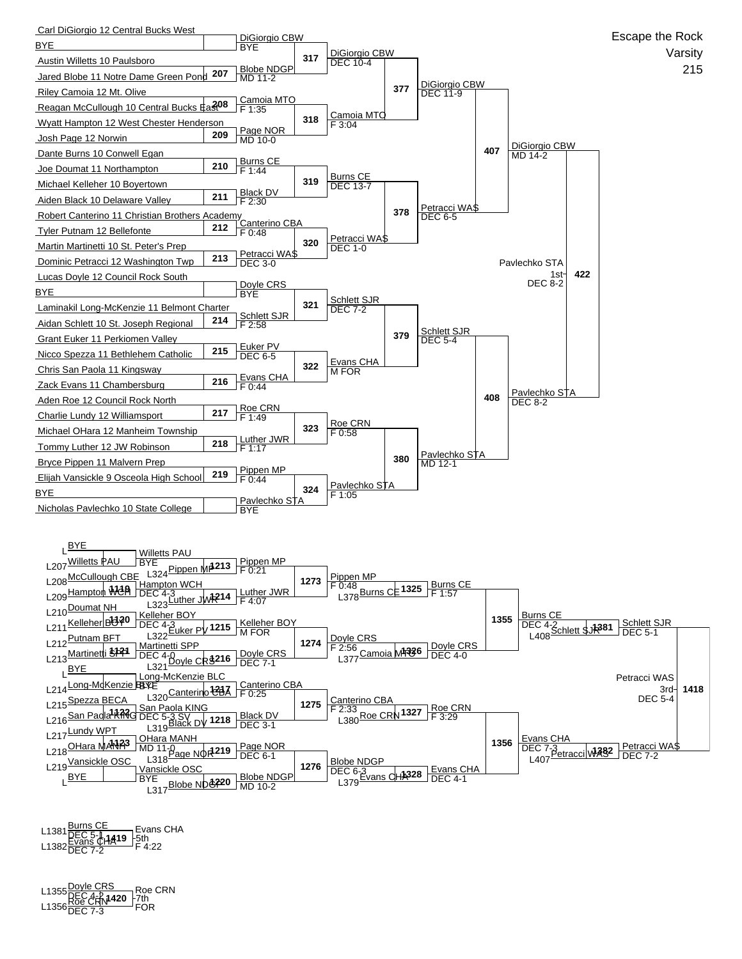

L1381 <u>DEC 5-1</u><br>L1382 Evans CH**A19** -5th<br>L1382 DEC 7-2 F 4:22 Evans CHA

**1420** L1355Doyle CRS DEC 4-2 L1356Roe CRN DEC 7-3 FOR Roe CRN Fruit<br>FOR